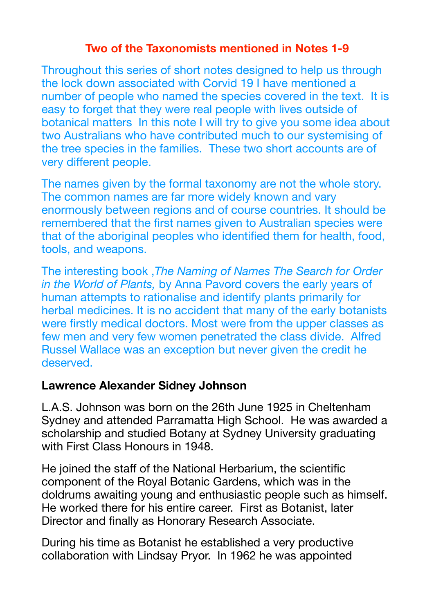## **Two of the Taxonomists mentioned in Notes 1-9**

Throughout this series of short notes designed to help us through the lock down associated with Corvid 19 I have mentioned a number of people who named the species covered in the text. It is easy to forget that they were real people with lives outside of botanical matters In this note I will try to give you some idea about two Australians who have contributed much to our systemising of the tree species in the families. These two short accounts are of very different people.

The names given by the formal taxonomy are not the whole story. The common names are far more widely known and vary enormously between regions and of course countries. It should be remembered that the first names given to Australian species were that of the aboriginal peoples who identified them for health, food, tools, and weapons.

The interesting book ,*The Naming of Names The Search for Order in the World of Plants,* by Anna Pavord covers the early years of human attempts to rationalise and identify plants primarily for herbal medicines. It is no accident that many of the early botanists were firstly medical doctors. Most were from the upper classes as few men and very few women penetrated the class divide. Alfred Russel Wallace was an exception but never given the credit he deserved.

## **Lawrence Alexander Sidney Johnson**

L.A.S. Johnson was born on the 26th June 1925 in Cheltenham Sydney and attended Parramatta High School. He was awarded a scholarship and studied Botany at Sydney University graduating with First Class Honours in 1948.

He joined the staff of the National Herbarium, the scientific component of the Royal Botanic Gardens, which was in the doldrums awaiting young and enthusiastic people such as himself. He worked there for his entire career. First as Botanist, later Director and finally as Honorary Research Associate.

During his time as Botanist he established a very productive collaboration with Lindsay Pryor. In 1962 he was appointed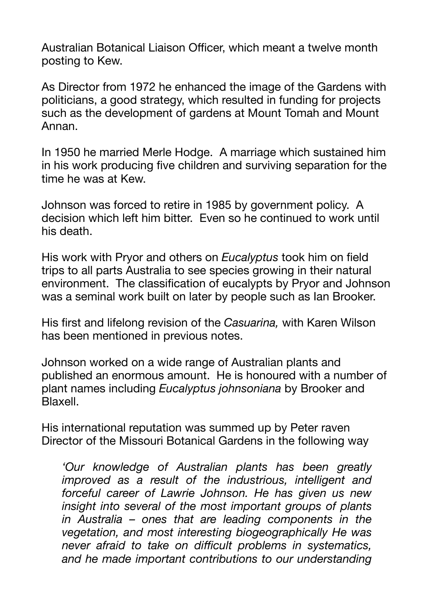Australian Botanical Liaison Officer, which meant a twelve month posting to Kew.

As Director from 1972 he enhanced the image of the Gardens with politicians, a good strategy, which resulted in funding for projects such as the development of gardens at Mount Tomah and Mount Annan.

In 1950 he married Merle Hodge. A marriage which sustained him in his work producing five children and surviving separation for the time he was at Kew.

Johnson was forced to retire in 1985 by government policy. A decision which left him bitter. Even so he continued to work until his death.

His work with Pryor and others on *Eucalyptus* took him on field trips to all parts Australia to see species growing in their natural environment. The classification of eucalypts by Pryor and Johnson was a seminal work built on later by people such as Ian Brooker.

His first and lifelong revision of the *Casuarina,* with Karen Wilson has been mentioned in previous notes.

Johnson worked on a wide range of Australian plants and published an enormous amount. He is honoured with a number of plant names including *Eucalyptus johnsoniana* by Brooker and Blaxell.

His international reputation was summed up by Peter raven Director of the Missouri Botanical Gardens in the following way

*'Our knowledge of Australian plants has been greatly improved as a result of the industrious, intelligent and forceful career of Lawrie Johnson. He has given us new insight into several of the most important groups of plants in Australia – ones that are leading components in the vegetation, and most interesting biogeographically He was never afraid to take on difficult problems in systematics, and he made important contributions to our understanding*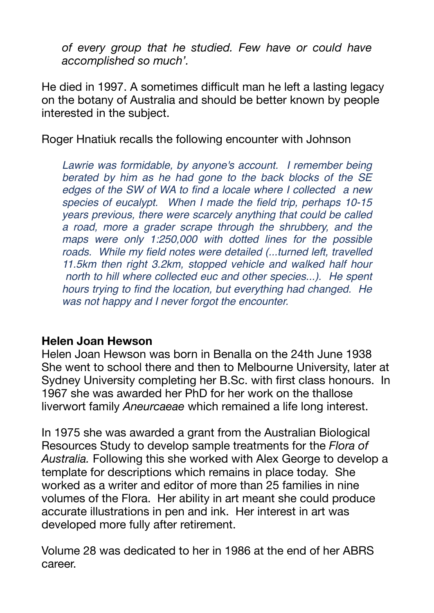*of every group that he studied. Few have or could have accomplished so much'.* 

He died in 1997. A sometimes difficult man he left a lasting legacy on the botany of Australia and should be better known by people interested in the subject.

Roger Hnatiuk recalls the following encounter with Johnson

*Lawrie was formidable, by anyone's account. I remember being berated by him as he had gone to the back blocks of the SE edges of the SW of WA to find a locale where I collected a new species of eucalypt. When I made the field trip, perhaps 10-15 years previous, there were scarcely anything that could be called a road, more a grader scrape through the shrubbery, and the maps were only 1:250,000 with dotted lines for the possible roads. While my field notes were detailed (...turned left, travelled 11.5km then right 3.2km, stopped vehicle and walked half hour north to hill where collected euc and other species...). He spent hours trying to find the location, but everything had changed. He was not happy and I never forgot the encounter.*

## **Helen Joan Hewson**

Helen Joan Hewson was born in Benalla on the 24th June 1938 She went to school there and then to Melbourne University, later at Sydney University completing her B.Sc. with first class honours. In 1967 she was awarded her PhD for her work on the thallose liverwort family *Aneurcaeae* which remained a life long interest.

In 1975 she was awarded a grant from the Australian Biological Resources Study to develop sample treatments for the *Flora of Australia.* Following this she worked with Alex George to develop a template for descriptions which remains in place today. She worked as a writer and editor of more than 25 families in nine volumes of the Flora. Her ability in art meant she could produce accurate illustrations in pen and ink. Her interest in art was developed more fully after retirement.

Volume 28 was dedicated to her in 1986 at the end of her ABRS career.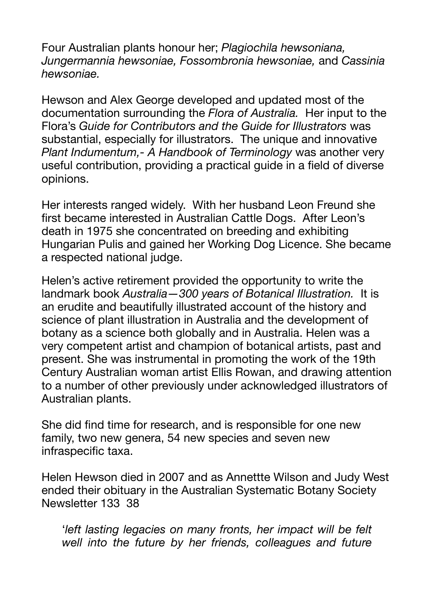Four Australian plants honour her; *Plagiochila hewsoniana, Jungermannia hewsoniae, Fossombronia hewsoniae,* and *Cassinia hewsoniae.* 

Hewson and Alex George developed and updated most of the documentation surrounding the *Flora of Australia.* Her input to the Flora's *Guide for Contributors and the Guide for Illustrators* was substantial, especially for illustrators. The unique and innovative *Plant Indumentum,- A Handbook of Terminology* was another very useful contribution, providing a practical guide in a field of diverse opinions.

Her interests ranged widely. With her husband Leon Freund she first became interested in Australian Cattle Dogs. After Leon's death in 1975 she concentrated on breeding and exhibiting Hungarian Pulis and gained her Working Dog Licence. She became a respected national judge.

Helen's active retirement provided the opportunity to write the landmark book *Australia—300 years of Botanical Illustration.* It is an erudite and beautifully illustrated account of the history and science of plant illustration in Australia and the development of botany as a science both globally and in Australia. Helen was a very competent artist and champion of botanical artists, past and present. She was instrumental in promoting the work of the 19th Century Australian woman artist Ellis Rowan, and drawing attention to a number of other previously under acknowledged illustrators of Australian plants.

She did find time for research, and is responsible for one new family, two new genera, 54 new species and seven new infraspecific taxa.

Helen Hewson died in 2007 and as Annettte Wilson and Judy West ended their obituary in the Australian Systematic Botany Society Newsletter 133 38

'*left lasting legacies on many fronts, her impact will be felt well into the future by her friends, colleagues and future*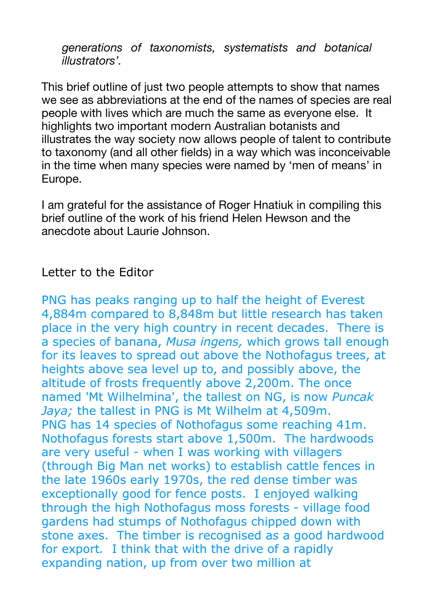*generations of taxonomists, systematists and botanical illustrators'.* 

This brief outline of just two people attempts to show that names we see as abbreviations at the end of the names of species are real people with lives which are much the same as everyone else. It highlights two important modern Australian botanists and illustrates the way society now allows people of talent to contribute to taxonomy (and all other fields) in a way which was inconceivable in the time when many species were named by 'men of means' in Europe.

I am grateful for the assistance of Roger Hnatiuk in compiling this brief outline of the work of his friend Helen Hewson and the anecdote about Laurie Johnson.

## Letter to the Editor

PNG has peaks ranging up to half the height of Everest 4,884m compared to 8,848m but little research has taken place in the very high country in recent decades. There is a species of banana, *Musa ingens,* which grows tall enough for its leaves to spread out above the Nothofagus trees, at heights above sea level up to, and possibly above, the altitude of frosts frequently above 2,200m. The once named 'Mt Wilhelmina', the tallest on NG, is now *Puncak Jaya;* the tallest in PNG is Mt Wilhelm at 4,509m. PNG has 14 species of Nothofagus some reaching 41m. Nothofagus forests start above 1,500m. The hardwoods are very useful - when I was working with villagers (through Big Man net works) to establish cattle fences in the late 1960s early 1970s, the red dense timber was exceptionally good for fence posts. I enjoyed walking through the high Nothofagus moss forests - village food gardens had stumps of Nothofagus chipped down with stone axes. The timber is recognised a*s* a good hardwood for export*.* I think that with the drive of a rapidly expanding nation, up from over two million at